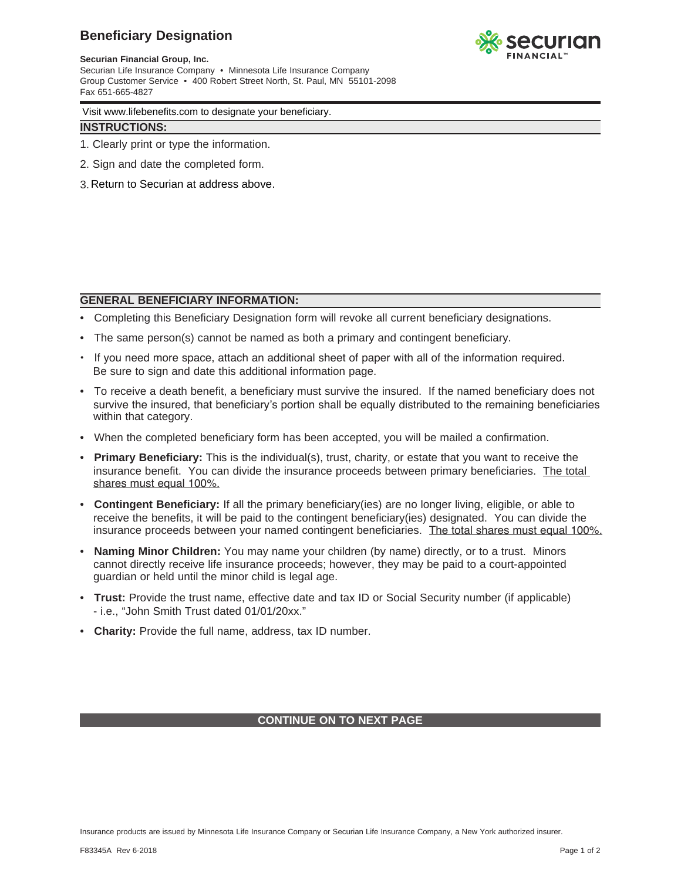## **Beneficiary Designation**



**Securian Financial Group, Inc.** Securian Life Insurance Company • Minnesota Life Insurance Company Group Customer Service • 400 Robert Street North, St. Paul, MN 55101-2098 Fax 651-665-4827

Visit www.lifebenefits.com to designate your beneficiary.

### **INSTRUCTIONS:**

- 1. Clearly print or type the information.
- 2. Sign and date the completed form.
- 3. Return to Securian at address above.

#### **GENERAL BENEFICIARY INFORMATION:**

- Completing this Beneficiary Designation form will revoke all current beneficiary designations.
- The same person(s) cannot be named as both a primary and contingent beneficiary.
- If you need more space, attach an additional sheet of paper with all of the information required. Be sure to sign and date this additional information page.
- To receive a death benefit, a beneficiary must survive the insured. If the named beneficiary does not survive the insured, that beneficiary's portion shall be equally distributed to the remaining beneficiaries within that category.
- When the completed beneficiary form has been accepted, you will be mailed a confirmation.
- **Primary Beneficiary:** This is the individual(s), trust, charity, or estate that you want to receive the insurance benefit. You can divide the insurance proceeds between primary beneficiaries. The total shares must equal 100%.
- **Contingent Beneficiary:** If all the primary beneficiary(ies) are no longer living, eligible, or able to receive the benefits, it will be paid to the contingent beneficiary(ies) designated. You can divide the insurance proceeds between your named contingent beneficiaries. The total shares must equal 100%.
- **Naming Minor Children:** You may name your children (by name) directly, or to a trust. Minors cannot directly receive life insurance proceeds; however, they may be paid to a court-appointed guardian or held until the minor child is legal age.
- **Trust:** Provide the trust name, effective date and tax ID or Social Security number (if applicable) - i.e., "John Smith Trust dated 01/01/20xx."
- **Charity:** Provide the full name, address, tax ID number.

### **CONTINUE ON TO NEXT PAGE**

Insurance products are issued by Minnesota Life Insurance Company or Securian Life Insurance Company, a New York authorized insurer.